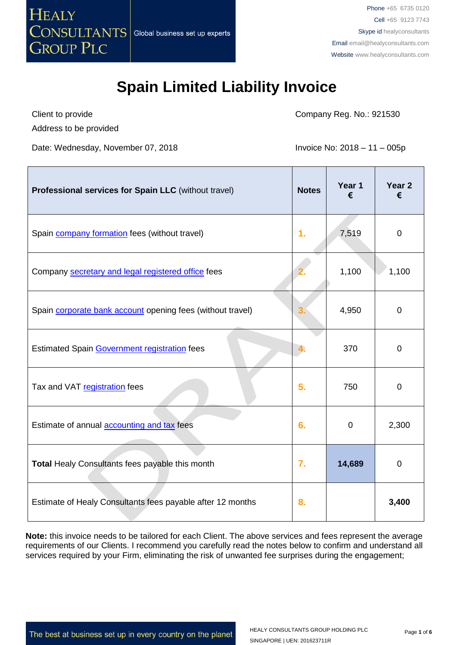

Client to provide Address to be provided Company Reg. No.: 921530

Date: Wednesday, November 07, 2018 **Invoice No: 2018** - 11 - 005p

| Professional services for Spain LLC (without travel)              | <b>Notes</b> | Year 1<br>€ | Year <sub>2</sub><br>€ |
|-------------------------------------------------------------------|--------------|-------------|------------------------|
| Spain company formation fees (without travel)                     | 1.           | 7,519       | $\mathbf 0$            |
| Company secretary and legal registered office fees                |              | 1,100       | 1,100                  |
| Spain <b>corporate bank account</b> opening fees (without travel) | 3.           | 4,950       | 0                      |
| <b>Estimated Spain Government registration fees</b>               | 4.           | 370         | $\overline{0}$         |
| Tax and VAT registration fees                                     | 5.           | 750         | 0                      |
| Estimate of annual <b>accounting and tax</b> fees                 | 6.           | 0           | 2,300                  |
| Total Healy Consultants fees payable this month                   | 7.           | 14,689      | 0                      |
| Estimate of Healy Consultants fees payable after 12 months        | 8.           |             | 3,400                  |

**Note:** this invoice needs to be tailored for each Client. The above services and fees represent the average requirements of our Clients. I recommend you carefully read the notes below to confirm and understand all services required by your Firm, eliminating the risk of unwanted fee surprises during the engagement;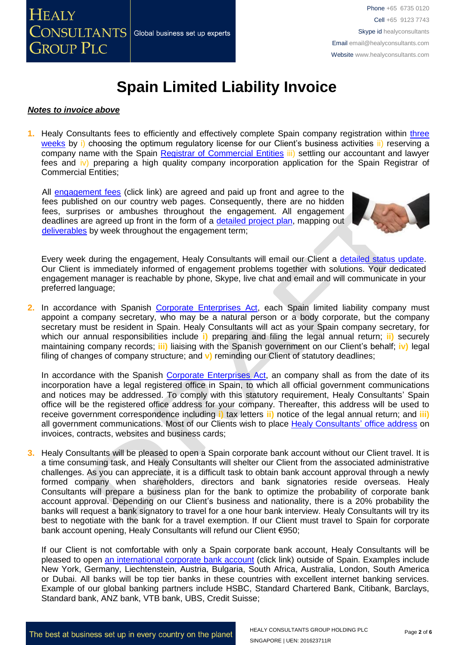### *Notes to invoice above*

**1.** Healy Consultants fees to efficiently and effectively complete Spain company registration within [three](http://www.healyconsultants.com/spain-company-registration/fees-timelines/#timelines)  [weeks](http://www.healyconsultants.com/spain-company-registration/fees-timelines/#timelines) by i) choosing the optimum regulatory license for our Client's business activities ii) reserving a company name with the Spain [Registrar of Commercial Entities](http://www.rmc.es/Home.aspx?lang=en) iii) settling our accountant and lawyer fees and iv) preparing a high quality company incorporation application for the Spain Registrar of Commercial Entities;

All [engagement fees](http://www.healyconsultants.com/company-registration-fees/) (click link) are agreed and paid up front and agree to the fees published on our country web pages. Consequently, there are no hidden fees, surprises or ambushes throughout the engagement. All engagement deadlines are agreed up front in the form of a [detailed project plan,](http://www.healyconsultants.com/index-important-links/example-project-plan/) mapping out [deliverables](http://www.healyconsultants.com/deliverables-to-our-clients/) by week throughout the engagement term;



Every week during the engagement, Healy Consultants will email our Client a [detailed status update.](http://www.healyconsultants.com/index-important-links/weekly-engagement-status-email/) Our Client is immediately informed of engagement problems together with solutions. Your dedicated engagement manager is reachable by phone, Skype, live chat and email and will communicate in your preferred language;

**2.** In accordance with Spanish [Corporate Enterprises Act,](http://law.au.dk/fileadmin/www.asb.dk/omasb/institutter/erhvervsjuridiskinstitut/EMCA/Spanish_Act.pdf) each Spain limited liability company must appoint a company secretary, who may be a natural person or a body corporate, but the company secretary must be resident in Spain. Healy Consultants will act as your Spain company secretary, for which our annual responsibilities include **i)** preparing and filing the legal annual return; **ii)** securely maintaining company records; **iii)** liaising with the Spanish government on our Client's behalf; **iv)** legal filing of changes of company structure; and **v)** reminding our Client of statutory deadlines;

In accordance with the Spanish [Corporate Enterprises Act,](http://law.au.dk/fileadmin/www.asb.dk/omasb/institutter/erhvervsjuridiskinstitut/EMCA/Spanish_Act.pdf) an company shall as from the date of its incorporation have a legal registered office in Spain, to which all official government communications and notices may be addressed. To comply with this statutory requirement, Healy Consultants' Spain office will be the registered office address for your company. Thereafter, this address will be used to receive government correspondence including **i)** tax letters **ii)** notice of the legal annual return; and **iii)** all government communications. Most of our Clients wish to place [Healy Consultants'](http://www.healyconsultants.com/corporate-outsourcing-services/company-secretary-and-legal-registered-office/) office address on invoices, contracts, websites and business cards;

**3.** Healy Consultants will be pleased to open a Spain corporate bank account without our Client travel. It is a time consuming task, and Healy Consultants will shelter our Client from the associated administrative challenges. As you can appreciate, it is a difficult task to obtain bank account approval through a newly formed company when shareholders, directors and bank signatories reside overseas. Healy Consultants will prepare a business plan for the bank to optimize the probability of corporate bank account approval. Depending on our Client's business and nationality, there is a 20% probability the banks will request a bank signatory to travel for a one hour bank interview. Healy Consultants will try its best to negotiate with the bank for a travel exemption. If our Client must travel to Spain for corporate bank account opening, Healy Consultants will refund our Client €950;

If our Client is not comfortable with only a Spain corporate bank account, Healy Consultants will be pleased to open [an international corporate bank account](http://www.healyconsultants.com/international-banking/) (click link) outside of Spain. Examples include New York, Germany, Liechtenstein, Austria, Bulgaria, South Africa, Australia, London, South America or Dubai. All banks will be top tier banks in these countries with excellent internet banking services. Example of our global banking partners include HSBC, Standard Chartered Bank, Citibank, Barclays, Standard bank, ANZ bank, VTB bank, UBS, Credit Suisse;

The best at business set up in every country on the planet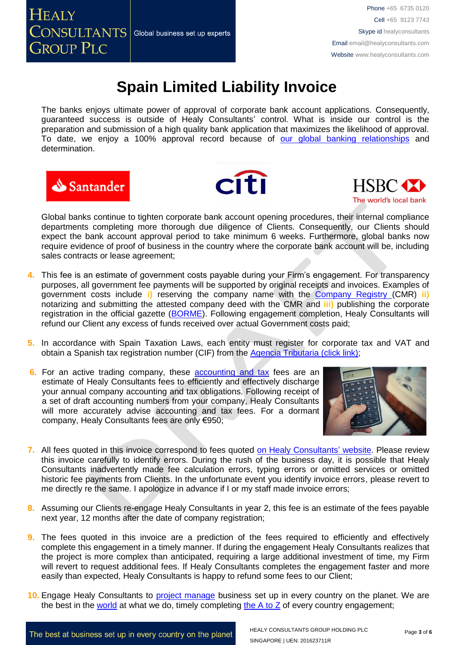The banks enjoys ultimate power of approval of corporate bank account applications. Consequently, guaranteed success is outside of Healy Consultants' control. What is inside our control is the preparation and submission of a high quality bank application that maximizes the likelihood of approval. To date, we enjoy a 100% approval record because of our global [banking relationships](http://www.healyconsultants.com/international-banking/corporate-accounts/) and determination.







Global banks continue to tighten corporate bank account opening procedures, their internal compliance departments completing more thorough due diligence of Clients. Consequently, our Clients should expect the bank account approval period to take minimum 6 weeks. Furthermore, global banks now require evidence of proof of business in the country where the corporate bank account will be, including sales contracts or lease agreement;

- **4.** This fee is an estimate of government costs payable during your Firm's engagement. For transparency purposes, all government fee payments will be supported by original receipts and invoices. Examples of government costs include **i)** reserving the company name with the [Company Registry \(](http://www.rmc.es/Home.aspx?lang=en)CMR) **ii)** notarizing and submitting the attested company deed with the CMR and **iii)** publishing the corporate registration in the official gazette [\(BORME\)](https://www.boe.es/diario_borme/index.php?lang=en). Following engagement completion, Healy Consultants will refund our Client any excess of funds received over actual Government costs paid;
- **5.** In accordance with Spain Taxation Laws, each entity must register for corporate tax and VAT and obtain a Spanish tax registration number (CIF) from the [Agencia Tributaria \(click link\);](http://www.agenciatributaria.es/)
- **6.** For an active trading company, these **accounting and tax** fees are an estimate of Healy Consultants fees to efficiently and effectively discharge your annual company accounting and tax obligations. Following receipt of a set of draft accounting numbers from your company, Healy Consultants will more accurately advise accounting and tax fees. For a dormant company, Healy Consultants fees are only €950;



- **7.** All fees quoted in this invoice correspond to fees quoted [on Healy Consultants'](http://www.healyconsultants.com/company-registration-fees/) website. Please review this invoice carefully to identify errors. During the rush of the business day, it is possible that Healy Consultants inadvertently made fee calculation errors, typing errors or omitted services or omitted historic fee payments from Clients. In the unfortunate event you identify invoice errors, please revert to me directly re the same. I apologize in advance if I or my staff made invoice errors;
- **8.** Assuming our Clients re-engage Healy Consultants in year 2, this fee is an estimate of the fees payable next year, 12 months after the date of company registration;
- **9.** The fees quoted in this invoice are a prediction of the fees required to efficiently and effectively complete this engagement in a timely manner. If during the engagement Healy Consultants realizes that the project is more complex than anticipated, requiring a large additional investment of time, my Firm will revert to request additional fees. If Healy Consultants completes the engagement faster and more easily than expected, Healy Consultants is happy to refund some fees to our Client;
- **10.** Engage Healy Consultants to [project manage](http://www.healyconsultants.com/project-manage-engagements/) business set up in every country on the planet. We are the best in the [world](http://www.healyconsultants.com/best-in-the-world/) at what we do, timely completing the  $A$  to  $Z$  of every country engagement;

The best at business set up in every country on the planet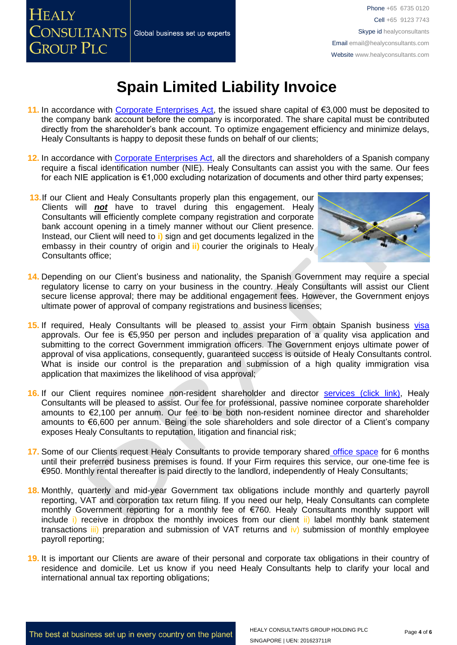### **HEALY CONSULTANTS** Global business set up experts **GROUP PLC**

Phone +65 6735 0120 Cell +65 9123 7743 Skype id healyconsultants Email [email@healyconsultants.com](mailto:EMAIL@HEALYCONSULTANTS.COM) Website [www.healyconsultants.com](http://www.healyconsultants.com/)

# **Spain Limited Liability Invoice**

- **11.** In accordance with [Corporate Enterprises Act,](http://law.au.dk/fileadmin/www.asb.dk/omasb/institutter/erhvervsjuridiskinstitut/EMCA/Spanish_Act.pdf) the issued share capital of €3,000 must be deposited to the company bank account before the company is incorporated. The share capital must be contributed directly from the shareholder's bank account. To optimize engagement efficiency and minimize delays, Healy Consultants is happy to deposit these funds on behalf of our clients;
- **12.** In accordance with [Corporate Enterprises Act,](http://law.au.dk/fileadmin/www.asb.dk/omasb/institutter/erhvervsjuridiskinstitut/EMCA/Spanish_Act.pdf) all the directors and shareholders of a Spanish company require a fiscal identification number (NIE). Healy Consultants can assist you with the same. Our fees for each NIE application is €1,000 excluding notarization of documents and other third party expenses;
- **13.**If our Client and Healy Consultants properly plan this engagement, our Clients will *not* have to travel during this engagement. Healy Consultants will efficiently complete company registration and corporate bank account opening in a timely manner without our Client presence. Instead, our Client will need to **i)** sign and get documents legalized in the embassy in their country of origin and **ii)** courier the originals to Healy Consultants office;



- **14.** Depending on our Client's business and nationality, the Spanish Government may require a special regulatory license to carry on your business in the country. Healy Consultants will assist our Client secure license approval; there may be additional engagement fees. However, the Government enjoys ultimate power of approval of company registrations and business licenses;
- 15. If required, Healy Consultants will be pleased to assist your Firm obtain Spanish business visa approvals. Our fee is €5,950 per person and includes preparation of a quality visa application and submitting to the correct Government immigration officers. The Government enjoys ultimate power of approval of visa applications, consequently, guaranteed success is outside of Healy Consultants control. What is inside our control is the preparation and submission of a high quality immigration visa application that maximizes the likelihood of visa approval;
- **16.** If our Client requires nominee non-resident shareholder and director services [\(click link\),](http://www.healyconsultants.com/corporate-outsourcing-services/nominee-shareholders-directors/) Healy Consultants will be pleased to assist. Our fee for professional, passive nominee corporate shareholder amounts to €2,100 per annum. Our fee to be both non-resident nominee director and shareholder amounts to €6,600 per annum. Being the sole shareholders and sole director of a Client's company exposes Healy Consultants to reputation, litigation and financial risk;
- **17.** Some of our Clients request Healy Consultants to provide temporary shared [office space](http://www.healyconsultants.com/virtual-office/) for 6 months until their preferred business premises is found. If your Firm requires this service, our one-time fee is €950. Monthly rental thereafter is paid directly to the landlord, independently of Healy Consultants;
- **18.** Monthly, quarterly and mid-year Government tax obligations include monthly and quarterly payroll reporting, VAT and corporation tax return filing. If you need our help, Healy Consultants can complete monthly Government reporting for a monthly fee of €760. Healy Consultants monthly support will include i) receive in dropbox the monthly invoices from our client ii) label monthly bank statement transactions  $\overline{iii}$  preparation and submission of VAT returns and  $\overline{iv}$  submission of monthly employee payroll reporting;
- **19.** It is important our Clients are aware of their personal and corporate tax obligations in their country of residence and domicile. Let us know if you need Healy Consultants help to clarify your local and international annual tax reporting obligations;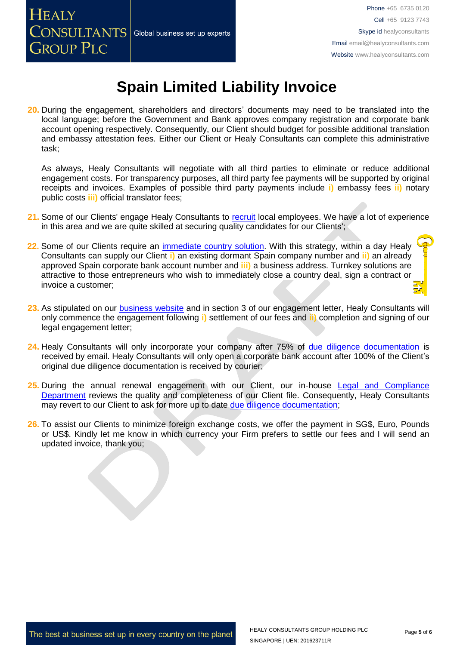**20.** During the engagement, shareholders and directors' documents may need to be translated into the local language; before the Government and Bank approves company registration and corporate bank account opening respectively. Consequently, our Client should budget for possible additional translation and embassy attestation fees. Either our Client or Healy Consultants can complete this administrative task;

As always, Healy Consultants will negotiate with all third parties to eliminate or reduce additional engagement costs. For transparency purposes, all third party fee payments will be supported by original receipts and invoices. Examples of possible third party payments include **i)** embassy fees **ii)** notary public costs **iii)** official translator fees;

- **21.** Some of our Clients' engage Healy Consultants to [recruit](http://www.healyconsultants.com/corporate-outsourcing-services/how-we-help-our-clients-recruit-quality-employees/) local employees. We have a lot of experience in this area and we are quite skilled at securing quality candidates for our Clients';
- 22. Some of our Clients require an *immediate country solution*. With this strategy, within a day Healy Consultants can supply our Client **i)** an existing dormant Spain company number and **ii)** an already approved Spain corporate bank account number and **iii)** a business address. Turnkey solutions are attractive to those entrepreneurs who wish to immediately close a country deal, sign a contract or invoice a customer;
- **23.** As stipulated on our [business website](http://www.healyconsultants.com/) and in section 3 of our engagement letter, Healy Consultants will only commence the engagement following **i)** settlement of our fees and **ii)** completion and signing of our legal engagement letter;
- **24.** Healy Consultants will only incorporate your company after 75% of [due diligence documentation](http://www.healyconsultants.com/due-diligence/) is received by email. Healy Consultants will only open a corporate bank account after 100% of the Client's original due diligence documentation is received by courier;
- 25. During the annual renewal engagement with our Client, our in-house Legal and Compliance [Department](http://www.healyconsultants.com/about-us/key-personnel/cai-xin-profile/) reviews the quality and completeness of our Client file. Consequently, Healy Consultants may revert to our Client to ask for more up to date [due diligence documentation;](http://www.healyconsultants.com/due-diligence/)
- 26. To assist our Clients to minimize foreign exchange costs, we offer the payment in SG\$, Euro, Pounds or US\$. Kindly let me know in which currency your Firm prefers to settle our fees and I will send an updated invoice, thank you;